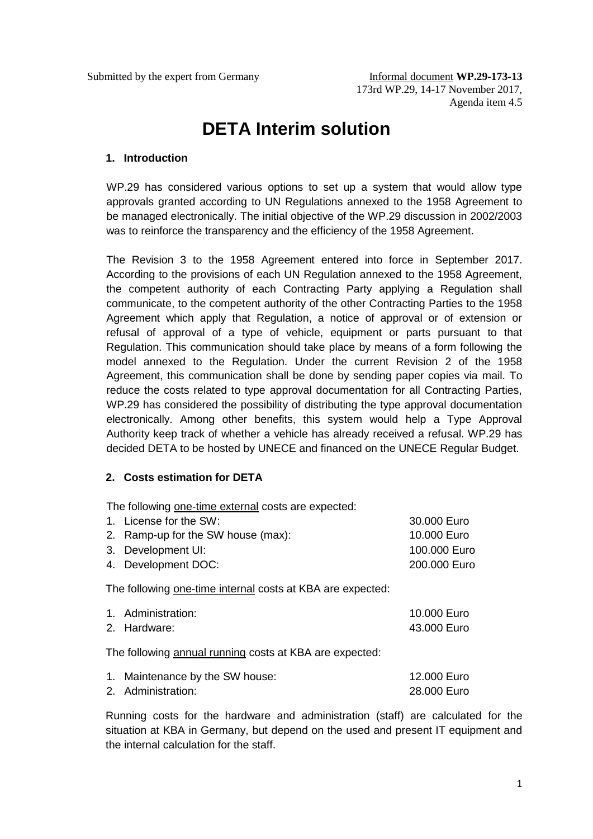# **DETA Interim solution**

## **1. Introduction**

WP.29 has considered various options to set up a system that would allow type approvals granted according to UN Regulations annexed to the 1958 Agreement to be managed electronically. The initial objective of the WP.29 discussion in 2002/2003 was to reinforce the transparency and the efficiency of the 1958 Agreement.

The Revision 3 to the 1958 Agreement entered into force in September 2017. According to the provisions of each UN Regulation annexed to the 1958 Agreement, the competent authority of each Contracting Party applying a Regulation shall communicate, to the competent authority of the other Contracting Parties to the 1958 Agreement which apply that Regulation, a notice of approval or of extension or refusal of approval of a type of vehicle, equipment or parts pursuant to that Regulation. This communication should take place by means of a form following the model annexed to the Regulation. Under the current Revision 2 of the 1958 Agreement, this communication shall be done by sending paper copies via mail. To reduce the costs related to type approval documentation for all Contracting Parties, WP.29 has considered the possibility of distributing the type approval documentation electronically. Among other benefits, this system would help a Type Approval Authority keep track of whether a vehicle has already received a refusal. WP.29 has decided DETA to be hosted by UNECE and financed on the UNECE Regular Budget.

## **2. Costs estimation for DETA**

The following one-time external costs are expected:

| 1. License for the SW:             | 30.000 Euro  |
|------------------------------------|--------------|
| 2. Ramp-up for the SW house (max): | 10.000 Euro  |
| 3. Development UI:                 | 100,000 Euro |
| 4. Development DOC:                | 200.000 Euro |

The following one-time internal costs at KBA are expected:

| 1. Administration: | 10.000 Euro |
|--------------------|-------------|
| 2. Hardware:       | 43.000 Euro |

The following annual running costs at KBA are expected:

| 1. Maintenance by the SW house: | 12.000 Euro |
|---------------------------------|-------------|
| 2. Administration:              | 28.000 Euro |

Running costs for the hardware and administration (staff) are calculated for the situation at KBA in Germany, but depend on the used and present IT equipment and the internal calculation for the staff.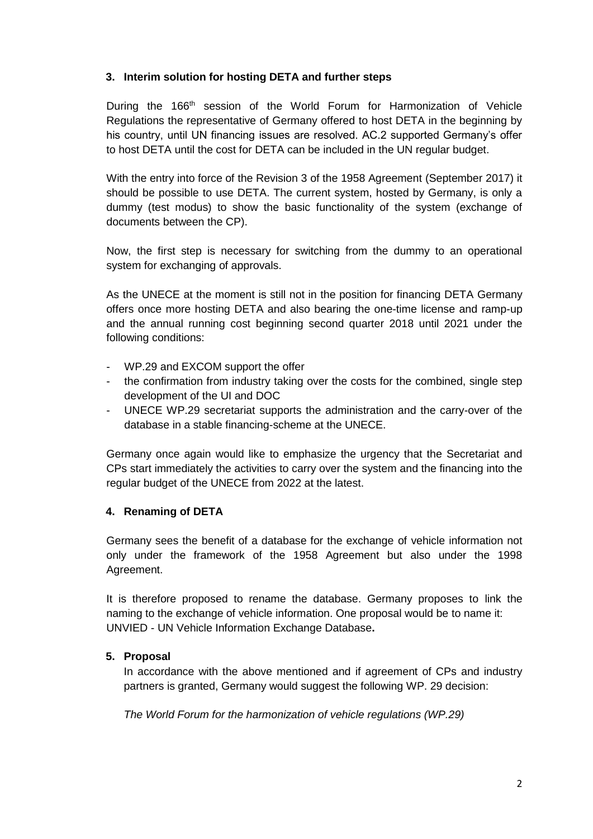## **3. Interim solution for hosting DETA and further steps**

During the 166<sup>th</sup> session of the World Forum for Harmonization of Vehicle Regulations the representative of Germany offered to host DETA in the beginning by his country, until UN financing issues are resolved. AC.2 supported Germany's offer to host DETA until the cost for DETA can be included in the UN regular budget.

With the entry into force of the Revision 3 of the 1958 Agreement (September 2017) it should be possible to use DETA. The current system, hosted by Germany, is only a dummy (test modus) to show the basic functionality of the system (exchange of documents between the CP).

Now, the first step is necessary for switching from the dummy to an operational system for exchanging of approvals.

As the UNECE at the moment is still not in the position for financing DETA Germany offers once more hosting DETA and also bearing the one-time license and ramp-up and the annual running cost beginning second quarter 2018 until 2021 under the following conditions:

- WP.29 and EXCOM support the offer
- the confirmation from industry taking over the costs for the combined, single step development of the UI and DOC
- UNECE WP.29 secretariat supports the administration and the carry-over of the database in a stable financing-scheme at the UNECE.

Germany once again would like to emphasize the urgency that the Secretariat and CPs start immediately the activities to carry over the system and the financing into the regular budget of the UNECE from 2022 at the latest.

## **4. Renaming of DETA**

Germany sees the benefit of a database for the exchange of vehicle information not only under the framework of the 1958 Agreement but also under the 1998 Agreement.

It is therefore proposed to rename the database. Germany proposes to link the naming to the exchange of vehicle information. One proposal would be to name it: UNVIED - UN Vehicle Information Exchange Database**.**

## **5. Proposal**

In accordance with the above mentioned and if agreement of CPs and industry partners is granted, Germany would suggest the following WP. 29 decision:

*The World Forum for the harmonization of vehicle regulations (WP.29)*